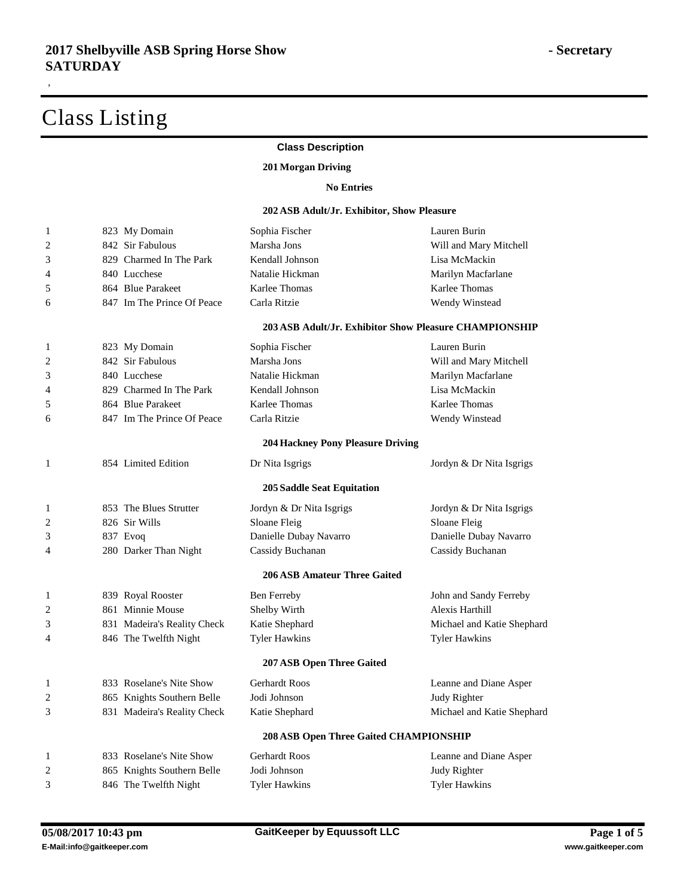,

### **Class Description**

#### **Morgan Driving**

#### **No Entries**

#### **ASB Adult/Jr. Exhibitor, Show Pleasure**

| $\,1$ | 823 My Domain               | Sophia Fischer                           | Lauren Burin                                           |
|-------|-----------------------------|------------------------------------------|--------------------------------------------------------|
| 2     | 842 Sir Fabulous            | Marsha Jons                              | Will and Mary Mitchell                                 |
| 3     | 829 Charmed In The Park     | Kendall Johnson                          | Lisa McMackin                                          |
| 4     | 840 Lucchese                | Natalie Hickman                          | Marilyn Macfarlane                                     |
| 5     | 864 Blue Parakeet           | Karlee Thomas                            | Karlee Thomas                                          |
| 6     | 847 Im The Prince Of Peace  | Carla Ritzie                             | Wendy Winstead                                         |
|       |                             |                                          | 203 ASB Adult/Jr. Exhibitor Show Pleasure CHAMPIONSHIP |
| 1     | 823 My Domain               | Sophia Fischer                           | Lauren Burin                                           |
| 2     | 842 Sir Fabulous            | Marsha Jons                              | Will and Mary Mitchell                                 |
| 3     | 840 Lucchese                | Natalie Hickman                          | Marilyn Macfarlane                                     |
| 4     | 829 Charmed In The Park     | Kendall Johnson                          | Lisa McMackin                                          |
| 5     | 864 Blue Parakeet           | Karlee Thomas                            | Karlee Thomas                                          |
| 6     | 847 Im The Prince Of Peace  | Carla Ritzie                             | Wendy Winstead                                         |
|       |                             | <b>204 Hackney Pony Pleasure Driving</b> |                                                        |
| 1     | 854 Limited Edition         | Dr Nita Isgrigs                          | Jordyn & Dr Nita Isgrigs                               |
|       |                             | <b>205 Saddle Seat Equitation</b>        |                                                        |
| 1     | 853 The Blues Strutter      | Jordyn & Dr Nita Isgrigs                 | Jordyn & Dr Nita Isgrigs                               |
| 2     | 826 Sir Wills               | Sloane Fleig                             | Sloane Fleig                                           |
| 3     | 837 Evoq                    | Danielle Dubay Navarro                   | Danielle Dubay Navarro                                 |
| 4     | 280 Darker Than Night       | Cassidy Buchanan                         | Cassidy Buchanan                                       |
|       |                             | <b>206 ASB Amateur Three Gaited</b>      |                                                        |
| 1     | 839 Royal Rooster           | Ben Ferreby                              | John and Sandy Ferreby                                 |
| 2     | 861 Minnie Mouse            | Shelby Wirth                             | Alexis Harthill                                        |
| 3     | 831 Madeira's Reality Check | Katie Shephard                           | Michael and Katie Shephard                             |
| 4     | 846 The Twelfth Night       | <b>Tyler Hawkins</b>                     | <b>Tyler Hawkins</b>                                   |
|       |                             | 207 ASB Open Three Gaited                |                                                        |
| 1     | 833 Roselane's Nite Show    | Gerhardt Roos                            | Leanne and Diane Asper                                 |
| 2     | 865 Knights Southern Belle  | Jodi Johnson                             | Judy Righter                                           |
| 3     | 831 Madeira's Reality Check | Katie Shephard                           | Michael and Katie Shephard                             |
|       |                             | 208 ASB Open Three Gaited CHAMPIONSHIP   |                                                        |
| 1     | 833 Roselane's Nite Show    | <b>Gerhardt Roos</b>                     | Leanne and Diane Asper                                 |
| 2     | 865 Knights Southern Belle  | Jodi Johnson                             | Judy Righter                                           |
| 3     | 846 The Twelfth Night       | Tyler Hawkins                            | <b>Tyler Hawkins</b>                                   |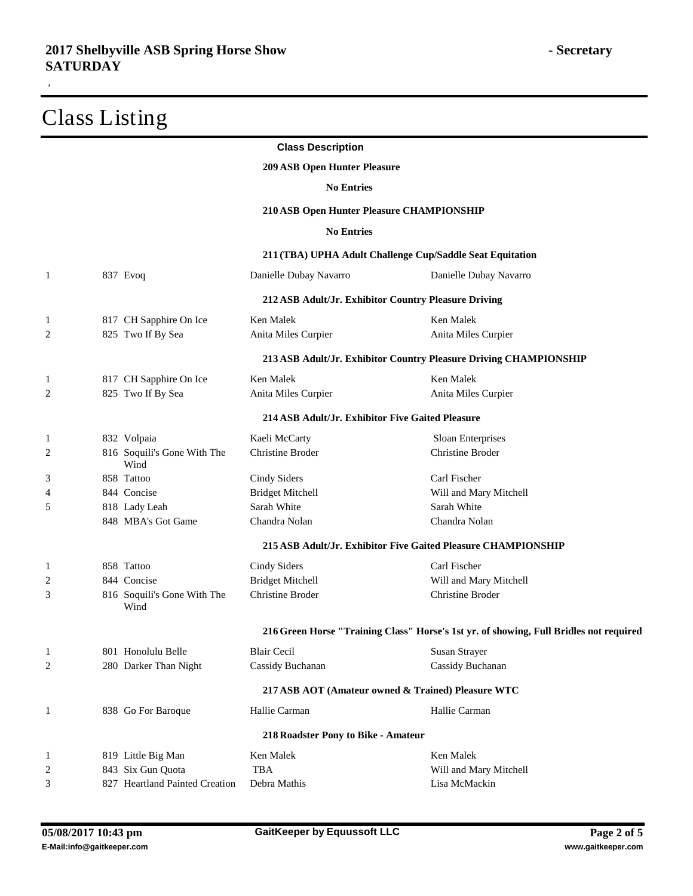|                         |                                     | <b>Class Description</b>                             |                                                                                        |
|-------------------------|-------------------------------------|------------------------------------------------------|----------------------------------------------------------------------------------------|
|                         |                                     | <b>209 ASB Open Hunter Pleasure</b>                  |                                                                                        |
|                         |                                     | <b>No Entries</b>                                    |                                                                                        |
|                         |                                     | 210 ASB Open Hunter Pleasure CHAMPIONSHIP            |                                                                                        |
|                         |                                     | <b>No Entries</b>                                    |                                                                                        |
|                         |                                     |                                                      | 211 (TBA) UPHA Adult Challenge Cup/Saddle Seat Equitation                              |
| 1                       | 837 Evoq                            | Danielle Dubay Navarro                               | Danielle Dubay Navarro                                                                 |
|                         |                                     | 212 ASB Adult/Jr. Exhibitor Country Pleasure Driving |                                                                                        |
| 1                       | 817 CH Sapphire On Ice              | Ken Malek                                            | Ken Malek                                                                              |
| $\overline{\mathbf{c}}$ | 825 Two If By Sea                   | Anita Miles Curpier                                  | Anita Miles Curpier                                                                    |
|                         |                                     |                                                      | 213 ASB Adult/Jr. Exhibitor Country Pleasure Driving CHAMPIONSHIP                      |
|                         | 817 CH Sapphire On Ice              | Ken Malek                                            | Ken Malek                                                                              |
| 2                       | 825 Two If By Sea                   | Anita Miles Curpier                                  | Anita Miles Curpier                                                                    |
|                         |                                     | 214 ASB Adult/Jr. Exhibitor Five Gaited Pleasure     |                                                                                        |
| 1                       | 832 Volpaia                         | Kaeli McCarty                                        | Sloan Enterprises                                                                      |
| $\overline{\mathbf{c}}$ | 816 Soquili's Gone With The<br>Wind | Christine Broder                                     | <b>Christine Broder</b>                                                                |
| 3                       | 858 Tattoo                          | Cindy Siders                                         | Carl Fischer                                                                           |
| 4                       | 844 Concise                         | <b>Bridget Mitchell</b>                              | Will and Mary Mitchell                                                                 |
| 5                       | 818 Lady Leah                       | Sarah White                                          | Sarah White                                                                            |
|                         | 848 MBA's Got Game                  | Chandra Nolan                                        | Chandra Nolan                                                                          |
|                         |                                     |                                                      | 215 ASB Adult/Jr. Exhibitor Five Gaited Pleasure CHAMPIONSHIP                          |
| 1                       | 858 Tattoo                          | Cindy Siders                                         | Carl Fischer                                                                           |
| $\overline{\mathbf{c}}$ | 844 Concise                         | <b>Bridget Mitchell</b>                              | Will and Mary Mitchell                                                                 |
| 3                       | 816 Soquili's Gone With The<br>Wind | <b>Christine Broder</b>                              | Christine Broder                                                                       |
|                         |                                     |                                                      | 216 Green Horse "Training Class" Horse's 1st yr. of showing, Full Bridles not required |
| 1                       | 801 Honolulu Belle                  | <b>Blair Cecil</b>                                   | Susan Strayer                                                                          |
| $\overline{\mathbf{c}}$ | 280 Darker Than Night               | Cassidy Buchanan                                     | Cassidy Buchanan                                                                       |
|                         |                                     |                                                      | 217 ASB AOT (Amateur owned & Trained) Pleasure WTC                                     |
| 1                       | 838 Go For Baroque                  | Hallie Carman                                        | Hallie Carman                                                                          |
|                         |                                     | 218 Roadster Pony to Bike - Amateur                  |                                                                                        |
| 1                       | 819 Little Big Man                  | Ken Malek                                            | Ken Malek                                                                              |
| $\overline{c}$          | 843 Six Gun Quota                   | <b>TBA</b>                                           | Will and Mary Mitchell                                                                 |
| 3                       | 827 Heartland Painted Creation      | Debra Mathis                                         | Lisa McMackin                                                                          |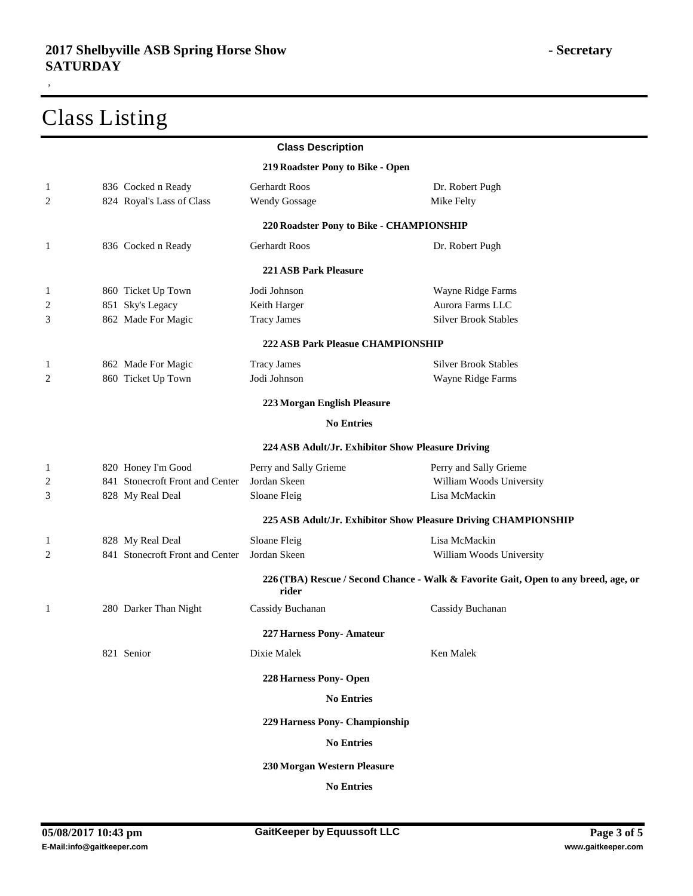|              |                                 | <b>Class Description</b>                 |                                                                                     |
|--------------|---------------------------------|------------------------------------------|-------------------------------------------------------------------------------------|
|              |                                 | 219 Roadster Pony to Bike - Open         |                                                                                     |
| $\mathbf{1}$ | 836 Cocked n Ready              | Gerhardt Roos                            | Dr. Robert Pugh                                                                     |
| 2            | 824 Royal's Lass of Class       | <b>Wendy Gossage</b>                     | Mike Felty                                                                          |
|              |                                 | 220 Roadster Pony to Bike - CHAMPIONSHIP |                                                                                     |
| 1            | 836 Cocked n Ready              | Gerhardt Roos                            | Dr. Robert Pugh                                                                     |
|              |                                 | <b>221 ASB Park Pleasure</b>             |                                                                                     |
| 1            | 860 Ticket Up Town              | Jodi Johnson                             | Wayne Ridge Farms                                                                   |
| 2            | 851 Sky's Legacy                | Keith Harger                             | Aurora Farms LLC                                                                    |
| 3            | 862 Made For Magic              | <b>Tracy James</b>                       | <b>Silver Brook Stables</b>                                                         |
|              |                                 | <b>222 ASB Park Pleasue CHAMPIONSHIP</b> |                                                                                     |
| 1            | 862 Made For Magic              | <b>Tracy James</b>                       | <b>Silver Brook Stables</b>                                                         |
| 2            | 860 Ticket Up Town              | Jodi Johnson                             | Wayne Ridge Farms                                                                   |
|              |                                 | 223 Morgan English Pleasure              |                                                                                     |
|              |                                 | <b>No Entries</b>                        |                                                                                     |
|              |                                 |                                          | 224 ASB Adult/Jr. Exhibitor Show Pleasure Driving                                   |
| 1            | 820 Honey I'm Good              | Perry and Sally Grieme                   | Perry and Sally Grieme                                                              |
| 2            | 841 Stonecroft Front and Center | Jordan Skeen                             | William Woods University                                                            |
| 3            | 828 My Real Deal                | Sloane Fleig                             | Lisa McMackin                                                                       |
|              |                                 |                                          | 225 ASB Adult/Jr. Exhibitor Show Pleasure Driving CHAMPIONSHIP                      |
| 1            | 828 My Real Deal                | Sloane Fleig                             | Lisa McMackin                                                                       |
| 2            | 841 Stonecroft Front and Center | Jordan Skeen                             | William Woods University                                                            |
|              |                                 | rider                                    | 226 (TBA) Rescue / Second Chance - Walk & Favorite Gait, Open to any breed, age, or |
| 1            | 280 Darker Than Night           | Cassidy Buchanan                         | Cassidy Buchanan                                                                    |
|              |                                 | 227 Harness Pony-Amateur                 |                                                                                     |
|              | 821 Senior                      | Dixie Malek                              | Ken Malek                                                                           |
|              |                                 | 228 Harness Pony- Open                   |                                                                                     |
|              |                                 | <b>No Entries</b>                        |                                                                                     |
|              |                                 | 229 Harness Pony- Championship           |                                                                                     |
|              |                                 | <b>No Entries</b>                        |                                                                                     |
|              |                                 | 230 Morgan Western Pleasure              |                                                                                     |
|              |                                 | <b>No Entries</b>                        |                                                                                     |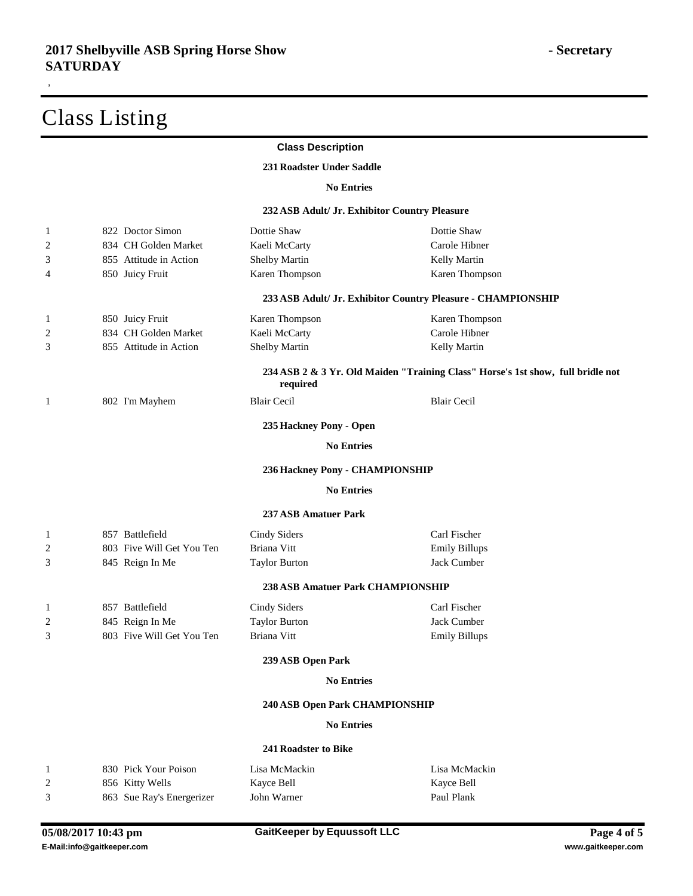|                         |                           | <b>Class Description</b>                      |                                                                                 |
|-------------------------|---------------------------|-----------------------------------------------|---------------------------------------------------------------------------------|
|                         |                           | 231 Roadster Under Saddle                     |                                                                                 |
|                         |                           | <b>No Entries</b>                             |                                                                                 |
|                         |                           | 232 ASB Adult/ Jr. Exhibitor Country Pleasure |                                                                                 |
| 1                       | 822 Doctor Simon          | Dottie Shaw                                   | Dottie Shaw                                                                     |
| $\overline{\mathbf{c}}$ | 834 CH Golden Market      | Kaeli McCarty                                 | Carole Hibner                                                                   |
| 3                       | 855 Attitude in Action    | Shelby Martin                                 | Kelly Martin                                                                    |
| 4                       | 850 Juicy Fruit           | Karen Thompson                                | Karen Thompson                                                                  |
|                         |                           |                                               | 233 ASB Adult/ Jr. Exhibitor Country Pleasure - CHAMPIONSHIP                    |
| 1                       | 850 Juicy Fruit           | Karen Thompson                                | Karen Thompson                                                                  |
| $\overline{c}$          | 834 CH Golden Market      | Kaeli McCarty                                 | Carole Hibner                                                                   |
| 3                       | 855 Attitude in Action    | <b>Shelby Martin</b>                          | Kelly Martin                                                                    |
|                         |                           | required                                      | 234 ASB 2 & 3 Yr. Old Maiden "Training Class" Horse's 1st show, full bridle not |
| 1                       | 802 I'm Mayhem            | <b>Blair Cecil</b>                            | <b>Blair Cecil</b>                                                              |
|                         |                           | 235 Hackney Pony - Open                       |                                                                                 |
|                         |                           | <b>No Entries</b>                             |                                                                                 |
|                         |                           | 236 Hackney Pony - CHAMPIONSHIP               |                                                                                 |
|                         |                           | <b>No Entries</b>                             |                                                                                 |
|                         |                           | <b>237 ASB Amatuer Park</b>                   |                                                                                 |
| 1                       | 857 Battlefield           | Cindy Siders                                  | Carl Fischer                                                                    |
| $\overline{c}$          | 803 Five Will Get You Ten | Briana Vitt                                   | <b>Emily Billups</b>                                                            |
| 3                       | 845 Reign In Me           | <b>Taylor Burton</b>                          | Jack Cumber                                                                     |
|                         |                           | <b>238 ASB Amatuer Park CHAMPIONSHIP</b>      |                                                                                 |
| 1                       | 857 Battlefield           | Cindy Siders                                  | Carl Fischer                                                                    |
| $\overline{\mathbf{c}}$ | 845 Reign In Me           | <b>Taylor Burton</b>                          | Jack Cumber                                                                     |
| 3                       | 803 Five Will Get You Ten | Briana Vitt                                   | <b>Emily Billups</b>                                                            |
|                         |                           | 239 ASB Open Park                             |                                                                                 |
|                         |                           | <b>No Entries</b>                             |                                                                                 |
|                         |                           | 240 ASB Open Park CHAMPIONSHIP                |                                                                                 |
|                         |                           | <b>No Entries</b>                             |                                                                                 |
|                         |                           | 241 Roadster to Bike                          |                                                                                 |
| 1                       | 830 Pick Your Poison      | Lisa McMackin                                 | Lisa McMackin                                                                   |
| $\overline{c}$          | 856 Kitty Wells           | Kayce Bell                                    | Kayce Bell                                                                      |
| 3                       | 863 Sue Ray's Energerizer | John Warner                                   | Paul Plank                                                                      |
|                         |                           |                                               |                                                                                 |